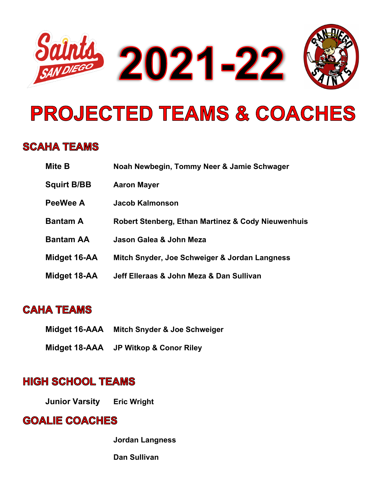

# **PROJECTED TEAMS & COACHES**

#### **SCAHA TEAMS**

| <b>Mite B</b>      | Noah Newbegin, Tommy Neer & Jamie Schwager         |
|--------------------|----------------------------------------------------|
| <b>Squirt B/BB</b> | <b>Aaron Mayer</b>                                 |
| PeeWee A           | Jacob Kalmonson                                    |
| <b>Bantam A</b>    | Robert Stenberg, Ethan Martinez & Cody Nieuwenhuis |
| <b>Bantam AA</b>   | Jason Galea & John Meza                            |
| Midget 16-AA       | Mitch Snyder, Joe Schweiger & Jordan Langness      |
| Midget 18-AA       | Jeff Elleraas & John Meza & Dan Sullivan           |

### **CAHA TEAMS**

- **Midget 16-AAA Mitch Snyder & Joe Schweiger**
- **Midget 18-AAA JP Witkop & Conor Riley**

#### **HIGH SCHOOL TEAMS**

**Junior Varsity Eric Wright**

#### **GOALIE COACHES**

**Jordan Langness**

**Dan Sullivan**